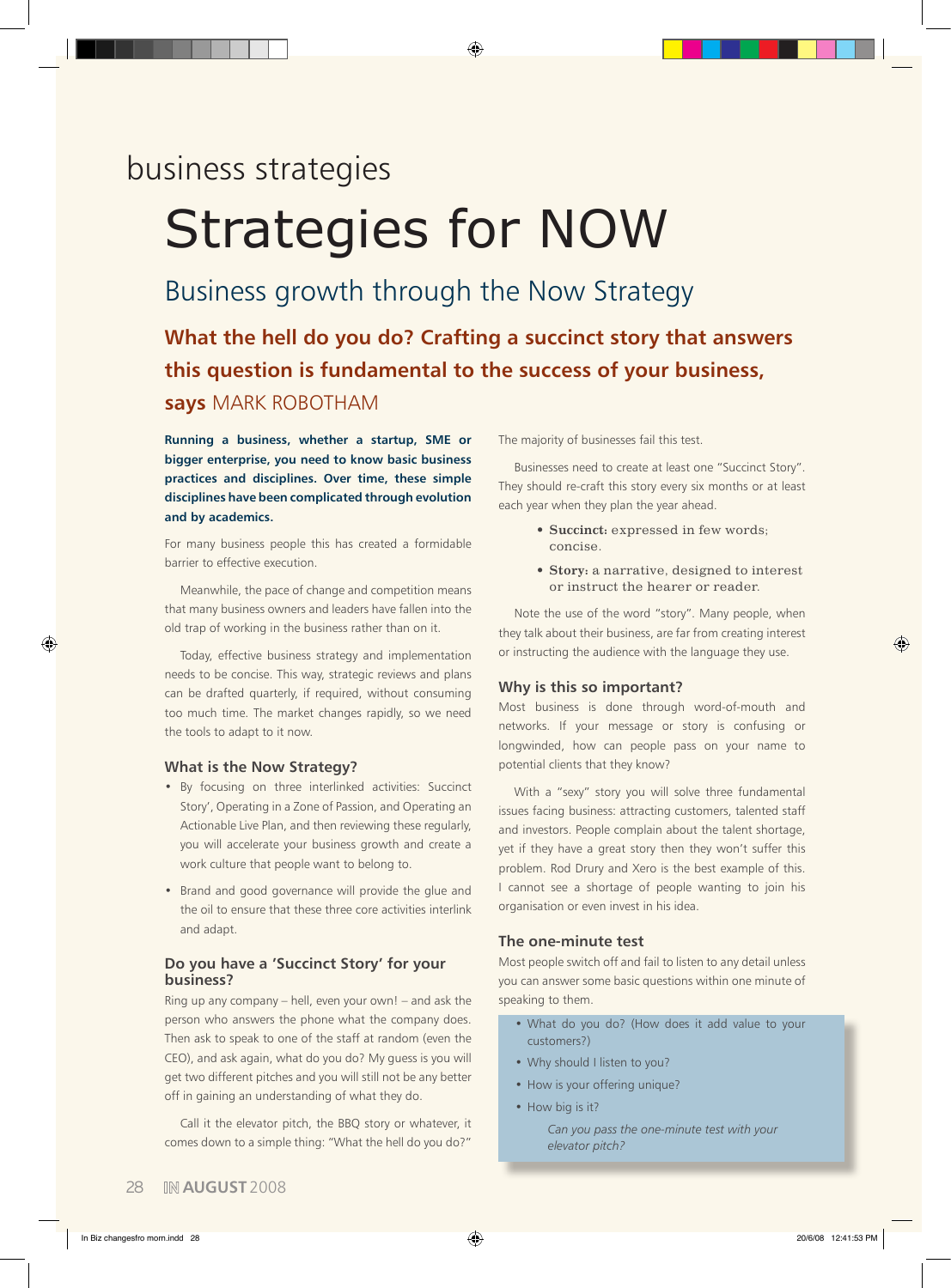# business strategies

# Strategies for NOW

# Business growth through the Now Strategy

**What the hell do you do? Crafting a succinct story that answers this question is fundamental to the success of your business,** 

◈

# **says** Mark Robotham

**Running a business, whether a startup, SME or bigger enterprise, you need to know basic business practices and disciplines. Over time, these simple disciplines have been complicated through evolution and by academics.** 

For many business people this has created a formidable barrier to effective execution.

Meanwhile, the pace of change and competition means that many business owners and leaders have fallen into the old trap of working in the business rather than on it.

Today, effective business strategy and implementation needs to be concise. This way, strategic reviews and plans can be drafted quarterly, if required, without consuming too much time. The market changes rapidly, so we need the tools to adapt to it now.

## **What is the Now Strategy?**

- • By focusing on three interlinked activities: Succinct Story', Operating in a Zone of Passion, and Operating an Actionable Live Plan, and then reviewing these regularly, you will accelerate your business growth and create a work culture that people want to belong to.
- • Brand and good governance will provide the glue and the oil to ensure that these three core activities interlink and adapt.

# **Do you have a 'Succinct Story' for your business?**

Ring up any company – hell, even your own! – and ask the person who answers the phone what the company does. Then ask to speak to one of the staff at random (even the CEO), and ask again, what do you do? My guess is you will get two different pitches and you will still not be any better off in gaining an understanding of what they do.

Call it the elevator pitch, the BBQ story or whatever, it comes down to a simple thing: "What the hell do you do?"

The majority of businesses fail this test.

Businesses need to create at least one "Succinct Story". They should re-craft this story every six months or at least each year when they plan the year ahead.

- **• Succinct:** expressed in few words; concise.
- **• Story:** a narrative, designed to interest or instruct the hearer or reader.

Note the use of the word "story". Many people, when they talk about their business, are far from creating interest or instructing the audience with the language they use.

#### **Why is this so important?**

Most business is done through word-of-mouth and networks. If your message or story is confusing or longwinded, how can people pass on your name to potential clients that they know?

With a "sexy" story you will solve three fundamental issues facing business: attracting customers, talented staff and investors. People complain about the talent shortage, yet if they have a great story then they won't suffer this problem. Rod Drury and Xero is the best example of this. I cannot see a shortage of people wanting to join his organisation or even invest in his idea.

# **The one-minute test**

Most people switch off and fail to listen to any detail unless you can answer some basic questions within one minute of speaking to them.

- • What do you do? (How does it add value to your customers?)
- Why should I listen to you?
- How is your offering unique?
- How big is it?

*Can you pass the one-minute test with your elevator pitch?*

◈

◈